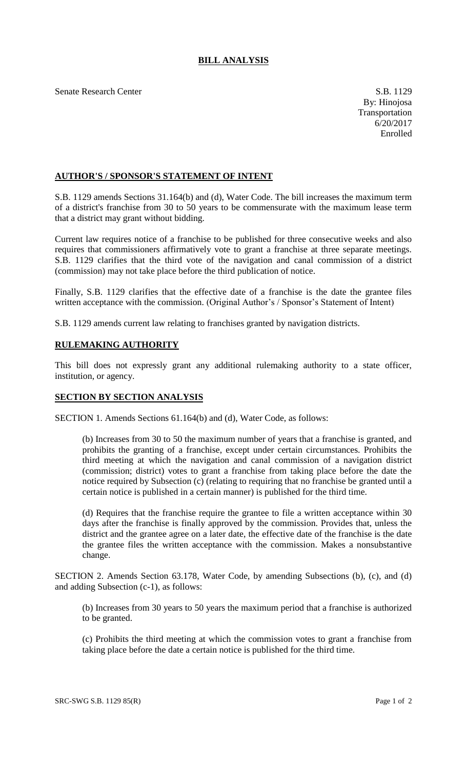## **BILL ANALYSIS**

Senate Research Center S.B. 1129

## **AUTHOR'S / SPONSOR'S STATEMENT OF INTENT**

S.B. 1129 amends Sections 31.164(b) and (d), Water Code. The bill increases the maximum term of a district's franchise from 30 to 50 years to be commensurate with the maximum lease term that a district may grant without bidding.

Current law requires notice of a franchise to be published for three consecutive weeks and also requires that commissioners affirmatively vote to grant a franchise at three separate meetings. S.B. 1129 clarifies that the third vote of the navigation and canal commission of a district (commission) may not take place before the third publication of notice.

Finally, S.B. 1129 clarifies that the effective date of a franchise is the date the grantee files written acceptance with the commission. (Original Author's / Sponsor's Statement of Intent)

S.B. 1129 amends current law relating to franchises granted by navigation districts.

## **RULEMAKING AUTHORITY**

This bill does not expressly grant any additional rulemaking authority to a state officer, institution, or agency.

## **SECTION BY SECTION ANALYSIS**

SECTION 1. Amends Sections 61.164(b) and (d), Water Code, as follows:

(b) Increases from 30 to 50 the maximum number of years that a franchise is granted, and prohibits the granting of a franchise, except under certain circumstances. Prohibits the third meeting at which the navigation and canal commission of a navigation district (commission; district) votes to grant a franchise from taking place before the date the notice required by Subsection (c) (relating to requiring that no franchise be granted until a certain notice is published in a certain manner) is published for the third time.

(d) Requires that the franchise require the grantee to file a written acceptance within 30 days after the franchise is finally approved by the commission. Provides that, unless the district and the grantee agree on a later date, the effective date of the franchise is the date the grantee files the written acceptance with the commission. Makes a nonsubstantive change.

SECTION 2. Amends Section 63.178, Water Code, by amending Subsections (b), (c), and (d) and adding Subsection (c-1), as follows:

(b) Increases from 30 years to 50 years the maximum period that a franchise is authorized to be granted.

(c) Prohibits the third meeting at which the commission votes to grant a franchise from taking place before the date a certain notice is published for the third time.